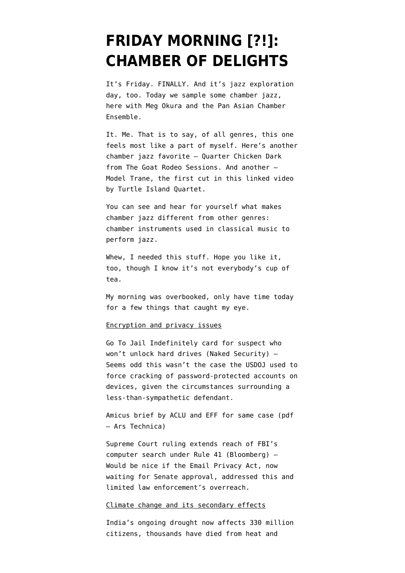## **[FRIDAY MORNING \[?!\]:](https://www.emptywheel.net/2016/04/29/friday-morning-chamber-of-delights/) [CHAMBER OF DELIGHTS](https://www.emptywheel.net/2016/04/29/friday-morning-chamber-of-delights/)**

It's Friday. FINALLY. And it's jazz exploration day, too. Today we sample some chamber jazz, here with Meg Okura and the Pan Asian Chamber Ensemble.

It. Me. That is to say, of all genres, this one feels most like a part of myself. Here's another chamber jazz favorite — [Quarter Chicken Dark](https://youtu.be/y7xqomuWVSY) from The Goat Rodeo Sessions. And another — Model Trane, the first cut in [this linked video](https://youtu.be/NacFvfTlX1c) by Turtle Island Quartet.

You can see and hear for yourself what makes chamber jazz different from other genres: chamber instruments used in classical music to perform jazz.

Whew, I needed this stuff. Hope you like it, too, though I know it's not everybody's cup of tea.

My morning was overbooked, only have time today for a few things that caught my eye.

## Encryption and privacy issues

[Go To Jail Indefinitely card for suspect who](https://nakedsecurity.sophos.com/2016/04/28/suspect-who-wont-decrypt-hard-drives-jailed-indefinitely/) [won't unlock hard drives](https://nakedsecurity.sophos.com/2016/04/28/suspect-who-wont-decrypt-hard-drives-jailed-indefinitely/) (Naked Security) — Seems odd this wasn't the case the USDOJ used to force cracking of password-protected accounts on devices, given the circumstances surrounding a less-than-sympathetic defendant.

[Amicus brief by ACLU and EFF for same case](https://arstechnica.com/wp-content/uploads/2016/04/effamicus.pdf) (pdf – Ars Technica)

[Supreme Court ruling extends reach of FBI's](http://www.bloomberg.com/politics/articles/2016-04-28/fbi-computer-searches-expanded-under-new-u-s-supreme-court-rule) [computer search under Rule 41](http://www.bloomberg.com/politics/articles/2016-04-28/fbi-computer-searches-expanded-under-new-u-s-supreme-court-rule) (Bloomberg) — Would be nice if the Email Privacy Act, now waiting for Senate approval, addressed this and limited law enforcement's overreach.

## Climate change and its secondary effects

[India's ongoing drought now affects 330 million](http://www.oneindia.com/new-delhi/330-million-people-in-india-vit-by-drought-number-could-go-up-further-2084370.html) [citizens, thousands have died from heat and](http://www.oneindia.com/new-delhi/330-million-people-in-india-vit-by-drought-number-could-go-up-further-2084370.html)